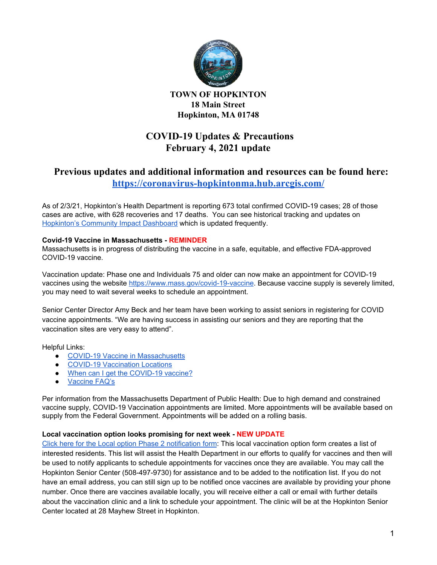

**TOWN OF HOPKINTON 18 Main Street Hopkinton, MA 01748**

# **COVID-19 Updates & Precautions February 4, 2021 update**

## **Previous updates and additional information and resources can be found here: <https://coronavirus-hopkintonma.hub.arcgis.com/>**

As of 2/3/21, Hopkinton's Health Department is reporting 673 total confirmed COVID-19 cases; 28 of those cases are active, with 628 recoveries and 17 deaths. You can see historical tracking and updates on [Hopkinton's](https://hopkintonma.maps.arcgis.com/apps/opsdashboard/index.html#/01aa244939e540aeb2991ec71392d431) Community Impact Dashboard which is updated frequently.

## **Covid-19 Vaccine in Massachusetts - REMINDER**

Massachusetts is in progress of distributing the vaccine in a safe, equitable, and effective FDA-approved COVID-19 vaccine.

Vaccination update: Phase one and Individuals 75 and older can now make an appointment for COVID-19 vaccines using the website [https://www.mass.gov/covid-19-vaccine.](https://www.mass.gov/covid-19-vaccine) Because vaccine supply is severely limited, you may need to wait several weeks to schedule an appointment.

Senior Center Director Amy Beck and her team have been working to assist seniors in registering for COVID vaccine appointments. "We are having success in assisting our seniors and they are reporting that the vaccination sites are very easy to attend".

Helpful Links:

- COVID-19 Vaccine in [Massachusetts](https://www.mass.gov/covid-19-vaccine)
- COVID-19 [Vaccination](https://www.mass.gov/info-details/covid-19-vaccination-locations-for-individuals-in-eligible-groups-and-phases) Locations
- When can I get the [COVID-19](https://www.mass.gov/info-details/when-can-i-get-the-covid-19-vaccine) vaccine?
- [Vaccine](https://www.mass.gov/info-details/covid-19-vaccine-frequently-asked-questions) FAQ's

Per information from the Massachusetts Department of Public Health: Due to high demand and constrained vaccine supply, COVID-19 Vaccination appointments are limited. More appointments will be available based on supply from the Federal Government. Appointments will be added on a rolling basis.

## **Local vaccination option looks promising for next week - NEW UPDATE**

Click here for the Local option Phase 2 [notification](https://docs.google.com/forms/d/e/1FAIpQLSd-OdgCQq_qY58RIRnmxmueR9xITN90wWEMxy6KdHk0ydKq3w/viewform) form: This local vaccination option form creates a list of interested residents. This list will assist the Health Department in our efforts to qualify for vaccines and then will be used to notify applicants to schedule appointments for vaccines once they are available. You may call the Hopkinton Senior Center (508-497-9730) for assistance and to be added to the notification list. If you do not have an email address, you can still sign up to be notified once vaccines are available by providing your phone number. Once there are vaccines available locally, you will receive either a call or email with further details about the vaccination clinic and a link to schedule your appointment. The clinic will be at the Hopkinton Senior Center located at 28 Mayhew Street in Hopkinton.